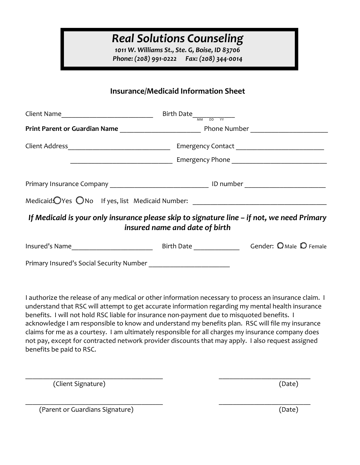1011 W. Williams St., Ste. G, Boise, ID 83706 Phone: (208) 991-0222 Fax: (208) 344-0014

## Insurance/Medicaid Information Sheet

| Client Name________________________________                                                | Birth Date $\frac{1}{\sqrt{mn}}$ DD $\frac{1}{\sqrt{m}}$ |  |  |  |
|--------------------------------------------------------------------------------------------|----------------------------------------------------------|--|--|--|
|                                                                                            |                                                          |  |  |  |
|                                                                                            |                                                          |  |  |  |
|                                                                                            |                                                          |  |  |  |
|                                                                                            |                                                          |  |  |  |
| Medicaid. OYes ONo If yes, list Medicaid Number: _______________________________           |                                                          |  |  |  |
| If Medicaid is your only insurance please skip to signature line – if not, we need Primary | insured name and date of birth                           |  |  |  |
|                                                                                            |                                                          |  |  |  |
|                                                                                            |                                                          |  |  |  |
|                                                                                            |                                                          |  |  |  |
|                                                                                            |                                                          |  |  |  |

I authorize the release of any medical or other information necessary to process an insurance claim. I understand that RSC will attempt to get accurate information regarding my mental health insurance benefits. I will not hold RSC liable for insurance non-payment due to misquoted benefits. I acknowledge I am responsible to know and understand my benefits plan. RSC will file my insurance claims for me as a courtesy. I am ultimately responsible for all charges my insurance company does not pay, except for contracted network provider discounts that may apply. I also request assigned benefits be paid to RSC.

(Client Signature) (Date)

(Parent or Guardians Signature) (Date)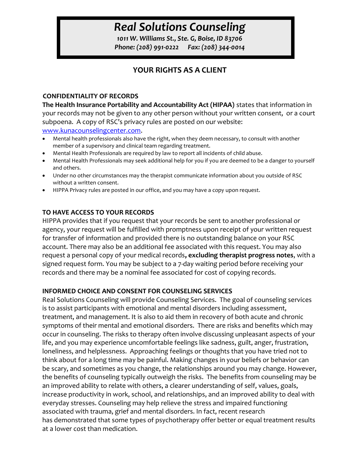1011 W. Williams St., Ste. G, Boise, ID 83706 Phone: (208) 991-0222 Fax: (208) 344-0014

## YOUR RIGHTS AS A CLIENT

#### CONFIDENTIALITY OF RECORDS

The Health Insurance Portability and Accountability Act (HIPAA) states that information in your records may not be given to any other person without your written consent, or a court subpoena. A copy of RSC's privacy rules are posted on our website: www.kunacounselingcenter.com.

- Mental health professionals also have the right, when they deem necessary, to consult with another member of a supervisory and clinical team regarding treatment.
- Mental Health Professionals are required by law to report all incidents of child abuse.
- Mental Health Professionals may seek additional help for you if you are deemed to be a danger to yourself and others.
- Under no other circumstances may the therapist communicate information about you outside of RSC without a written consent.
- HIPPA Privacy rules are posted in our office, and you may have a copy upon request.

### TO HAVE ACCESS TO YOUR RECORDS

HIPPA provides that if you request that your records be sent to another professional or agency, your request will be fulfilled with promptness upon receipt of your written request for transfer of information and provided there is no outstanding balance on your RSC account. There may also be an additional fee associated with this request. You may also request a personal copy of your medical records, excluding therapist progress notes, with a signed request form. You may be subject to a 7-day waiting period before receiving your records and there may be a nominal fee associated for cost of copying records.

### INFORMED CHOICE AND CONSENT FOR COUNSELING SERVICES

Real Solutions Counseling will provide Counseling Services. The goal of counseling services is to assist participants with emotional and mental disorders including assessment, treatment, and management. It is also to aid them in recovery of both acute and chronic symptoms of their mental and emotional disorders. There are risks and benefits which may occur in counseling. The risks to therapy often involve discussing unpleasant aspects of your life, and you may experience uncomfortable feelings like sadness, guilt, anger, frustration, loneliness, and helplessness. Approaching feelings or thoughts that you have tried not to think about for a long time may be painful. Making changes in your beliefs or behavior can be scary, and sometimes as you change, the relationships around you may change. However, the benefits of counseling typically outweigh the risks. The benefits from counseling may be an improved ability to relate with others, a clearer understanding of self, values, goals, increase productivity in work, school, and relationships, and an improved ability to deal with everyday stresses. Counseling may help relieve the stress and impaired functioning associated with trauma, grief and mental disorders. In fact, recent research has demonstrated that some types of psychotherapy offer better or equal treatment results at a lower cost than medication.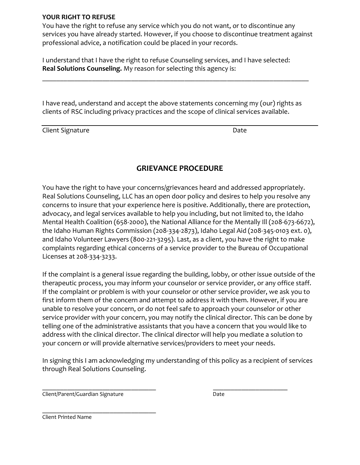### YOUR RIGHT TO REFUSE

You have the right to refuse any service which you do not want, or to discontinue any services you have already started. However, if you choose to discontinue treatment against professional advice, a notification could be placed in your records.

I understand that I have the right to refuse Counseling services, and I have selected: Real Solutions Counseling. My reason for selecting this agency is:

I have read, understand and accept the above statements concerning my (our) rights as clients of RSC including privacy practices and the scope of clinical services available.

Client Signature Date

### GRIEVANCE PROCEDURE

You have the right to have your concerns/grievances heard and addressed appropriately. Real Solutions Counseling, LLC has an open door policy and desires to help you resolve any concerns to insure that your experience here is positive. Additionally, there are protection, advocacy, and legal services available to help you including, but not limited to, the Idaho Mental Health Coalition (658-2000), the National Alliance for the Mentally Ill (208-673-6672), the Idaho Human Rights Commission (208-334-2873), Idaho Legal Aid (208-345-0103 ext. 0), and Idaho Volunteer Lawyers (800-221-3295). Last, as a client, you have the right to make complaints regarding ethical concerns of a service provider to the Bureau of Occupational Licenses at 208-334-3233.

If the complaint is a general issue regarding the building, lobby, or other issue outside of the therapeutic process, you may inform your counselor or service provider, or any office staff. If the complaint or problem is with your counselor or other service provider, we ask you to first inform them of the concern and attempt to address it with them. However, if you are unable to resolve your concern, or do not feel safe to approach your counselor or other service provider with your concern, you may notify the clinical director. This can be done by telling one of the administrative assistants that you have a concern that you would like to address with the clinical director. The clinical director will help you mediate a solution to your concern or will provide alternative services/providers to meet your needs.

In signing this I am acknowledging my understanding of this policy as a recipient of services through Real Solutions Counseling.

 $\overline{\phantom{a}}$  , and the contract of the contract of the contract of the contract of the contract of the contract of the contract of the contract of the contract of the contract of the contract of the contract of the contrac

Client/Parent/Guardian Signature data and the Date

 $\mathcal{L}_\text{max}$  and  $\mathcal{L}_\text{max}$  and  $\mathcal{L}_\text{max}$ Client Printed Name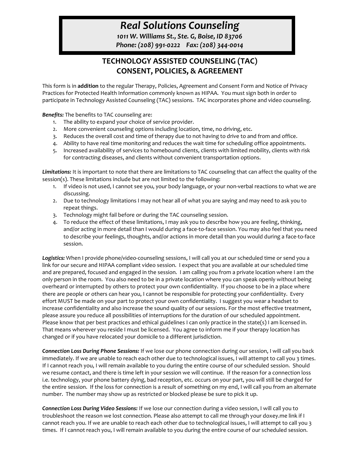1011 W. Williams St., Ste. G, Boise, ID 83706 Phone: (208) 991-0222 Fax: (208) 344-0014

## TECHNOLOGY ASSISTED COUNSELING (TAC) CONSENT, POLICIES, & AGREEMENT

This form is in addition to the regular Therapy, Policies, Agreement and Consent Form and Notice of Privacy Practices for Protected Health Information commonly known as HIPAA. You must sign both in order to participate in Technology Assisted Counseling (TAC) sessions. TAC incorporates phone and video counseling.

Benefits: The benefits to TAC counseling are:

- 1. The ability to expand your choice of service provider.
- 2. More convenient counseling options including location, time, no driving, etc.
- 3. Reduces the overall cost and time of therapy due to not having to drive to and from and office.
- 4. Ability to have real time monitoring and reduces the wait time for scheduling office appointments.
- 5. Increased availability of services to homebound clients, clients with limited mobility, clients with risk for contracting diseases, and clients without convenient transportation options.

Limitations: It is important to note that there are limitations to TAC counseling that can affect the quality of the session(s). These limitations include but are not limited to the following:

- 1. If video is not used, I cannot see you, your body language, or your non-verbal reactions to what we are discussing.
- 2. Due to technology limitations I may not hear all of what you are saying and may need to ask you to repeat things.
- 3. Technology might fail before or during the TAC counseling session.
- 4. To reduce the effect of these limitations, I may ask you to describe how you are feeling, thinking, and/or acting in more detail than I would during a face-to-face session. You may also feel that you need to describe your feelings, thoughts, and/or actions in more detail than you would during a face-to-face session.

Logistics: When I provide phone/video-counseling sessions, I will call you at our scheduled time or send you a link for our secure and HIPAA compliant video session. I expect that you are available at our scheduled time and are prepared, focused and engaged in the session. I am calling you from a private location where I am the only person in the room. You also need to be in a private location where you can speak openly without being overheard or interrupted by others to protect your own confidentiality. If you choose to be in a place where there are people or others can hear you, I cannot be responsible for protecting your confidentiality. Every effort MUST be made on your part to protect your own confidentiality. I suggest you wear a headset to increase confidentiality and also increase the sound quality of our sessions. For the most effective treatment, please assure you reduce all possibilities of interruptions for the duration of our scheduled appointment. Please know that per best practices and ethical guidelines I can only practice in the state(s) I am licensed in. That means wherever you reside I must be licensed. You agree to inform me if your therapy location has changed or if you have relocated your domicile to a different jurisdiction.

Connection Loss During Phone Sessions: If we lose our phone connection during our session, I will call you back immediately. If we are unable to reach each other due to technological issues, I will attempt to call you 3 times. If I cannot reach you, I will remain available to you during the entire course of our scheduled session. Should we resume contact, and there is time left in your session we will continue. If the reason for a connection loss i.e. technology, your phone battery dying, bad reception, etc. occurs on your part, you will still be charged for the entire session. If the loss for connection is a result of something on my end, I will call you from an alternate number. The number may show up as restricted or blocked please be sure to pick it up.

Connection Loss During Video Sessions: If we lose our connection during a video session, I will call you to troubleshoot the reason we lost connection. Please also attempt to call me through your doxey.me link if I cannot reach you. If we are unable to reach each other due to technological issues, I will attempt to call you 3 times. If I cannot reach you, I will remain available to you during the entire course of our scheduled session.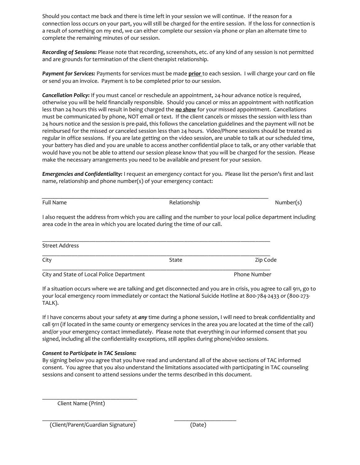Should you contact me back and there is time left in your session we will continue. If the reason for a connection loss occurs on your part, you will still be charged for the entire session. If the loss for connection is a result of something on my end, we can either complete our session via phone or plan an alternate time to complete the remaining minutes of our session.

Recording of Sessions: Please note that recording, screenshots, etc. of any kind of any session is not permitted and are grounds for termination of the client-therapist relationship.

Payment for Services: Payments for services must be made prior to each session. I will charge your card on file or send you an invoice. Payment is to be completed prior to our session.

Cancellation Policy: If you must cancel or reschedule an appointment, 24-hour advance notice is required, otherwise you will be held financially responsible. Should you cancel or miss an appointment with notification less than 24 hours this will result in being charged the no show for your missed appointment. Cancellations must be communicated by phone, NOT email or text. If the client cancels or misses the session with less than 24 hours notice and the session is pre-paid, this follows the cancelation guidelines and the payment will not be reimbursed for the missed or canceled session less than 24 hours. Video/Phone sessions should be treated as regular in office sessions. If you are late getting on the video session, are unable to talk at our scheduled time, your battery has died and you are unable to access another confidential place to talk, or any other variable that would have you not be able to attend our session please know that you will be charged for the session. Please make the necessary arrangements you need to be available and present for your session.

Emergencies and Confidentiality: I request an emergency contact for you. Please list the person's first and last name, relationship and phone number(s) of your emergency contact:

 $\mathcal{L}_\mathcal{L} = \{ \mathcal{L}_\mathcal{L} = \{ \mathcal{L}_\mathcal{L} = \{ \mathcal{L}_\mathcal{L} = \{ \mathcal{L}_\mathcal{L} = \{ \mathcal{L}_\mathcal{L} = \{ \mathcal{L}_\mathcal{L} = \{ \mathcal{L}_\mathcal{L} = \{ \mathcal{L}_\mathcal{L} = \{ \mathcal{L}_\mathcal{L} = \{ \mathcal{L}_\mathcal{L} = \{ \mathcal{L}_\mathcal{L} = \{ \mathcal{L}_\mathcal{L} = \{ \mathcal{L}_\mathcal{L} = \{ \mathcal{L}_\mathcal{$ 

| Full Name             | Relationship                                                                                                                                                                                  | Number(s) |
|-----------------------|-----------------------------------------------------------------------------------------------------------------------------------------------------------------------------------------------|-----------|
|                       | I also request the address from which you are calling and the number to your local police department including<br>area code in the area in which you are located during the time of our call. |           |
| <b>Street Address</b> |                                                                                                                                                                                               |           |
| City                  | State                                                                                                                                                                                         | Zip Code  |

City and State of Local Police Department **Phone Number** Phone Number

If a situation occurs where we are talking and get disconnected and you are in crisis, you agree to call 911, go to your local emergency room immediately or contact the National Suicide Hotline at 800-784-2433 or (800-273- TALK).

If I have concerns about your safety at any time during a phone session, I will need to break confidentiality and call 911 (if located in the same county or emergency services in the area you are located at the time of the call) and/or your emergency contact immediately. Please note that everything in our informed consent that you signed, including all the confidentiality exceptions, still applies during phone/video sessions.

#### Consent to Participate in TAC Sessions:

By signing below you agree that you have read and understand all of the above sections of TAC informed consent. You agree that you also understand the limitations associated with participating in TAC counseling sessions and consent to attend sessions under the terms described in this document.

 $\mathcal{L}_\text{max} = \mathcal{L}_\text{max} = \mathcal{L}_\text{max} = \mathcal{L}_\text{max} = \mathcal{L}_\text{max} = \mathcal{L}_\text{max} = \mathcal{L}_\text{max} = \mathcal{L}_\text{max} = \mathcal{L}_\text{max} = \mathcal{L}_\text{max} = \mathcal{L}_\text{max} = \mathcal{L}_\text{max} = \mathcal{L}_\text{max} = \mathcal{L}_\text{max} = \mathcal{L}_\text{max} = \mathcal{L}_\text{max} = \mathcal{L}_\text{max} = \mathcal{L}_\text{max} = \mathcal{$ 

Client Name (Print)

(Client/Parent/Guardian Signature) (Date)

 $\mathcal{L}_\text{max}$  and  $\mathcal{L}_\text{max}$  and  $\mathcal{L}_\text{max}$  and  $\mathcal{L}_\text{max}$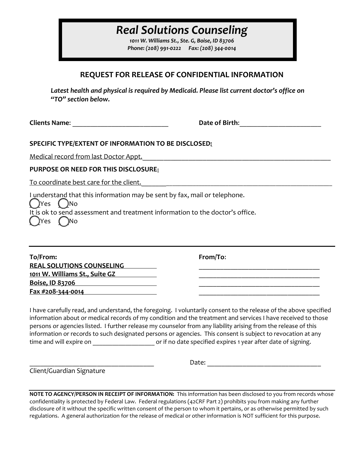1011 W. Williams St., Ste. G, Boise, ID 83706 Phone: (208) 991-0222 Fax: (208) 344-0014

## REQUEST FOR RELEASE OF CONFIDENTIAL INFORMATION

Latest health and physical is required by Medicaid. Please list current doctor's office on "TO" section below.

Clients Name: \_\_\_\_\_\_\_\_\_\_\_\_\_\_\_\_\_\_\_\_\_\_\_\_\_\_\_ Date of Birth:\_\_\_\_\_\_\_\_\_\_\_\_\_\_\_\_\_\_\_\_\_\_\_

### SPECIFIC TYPE/EXTENT OF INFORMATION TO BE DISCLOSED:

Medical record from last Doctor Appt.\_\_\_\_\_\_\_\_\_\_\_\_\_\_\_\_\_\_\_\_\_\_\_\_\_\_\_\_\_\_\_\_\_\_\_\_\_\_\_\_\_\_\_\_\_\_\_\_\_\_\_\_\_

PURPOSE OR NEED FOR THIS DISCLOSURE:

To coordinate best care for the client.

I understand that this information may be sent by fax, mail or telephone.

 $()$ Yes  $()$ No It is ok to send assessment and treatment information to the doctor's office. )Yes *(* )No

To/From: From/To: REAL SOLUTIONS COUNSELING 1011 W. Williams St., Suite GZ \_\_\_\_\_\_\_\_\_\_\_\_\_\_\_\_\_\_\_\_\_\_\_\_\_\_\_\_\_\_\_\_\_\_ Boise, ID 83706 \_\_\_\_\_\_\_\_\_\_\_\_\_\_\_\_\_\_\_\_\_\_\_\_\_\_\_\_\_\_\_\_\_\_ Fax #208-344-0014 \_\_\_\_\_\_\_\_\_\_\_\_\_\_\_\_\_\_\_\_\_\_\_\_\_\_\_\_\_\_\_\_\_\_

I have carefully read, and understand, the foregoing. I voluntarily consent to the release of the above specified information about or medical records of my condition and the treatment and services I have received to those persons or agencies listed. I further release my counselor from any liability arising from the release of this information or records to such designated persons or agencies. This consent is subject to revocation at any time and will expire on \_\_\_\_\_\_\_\_\_\_\_\_\_\_\_\_\_\_\_\_\_\_\_\_\_ or if no date specified expires 1 year after date of signing.

Client/Guardian Signature

\_\_\_\_\_\_\_\_\_\_\_\_\_\_\_\_\_\_\_\_\_\_\_\_\_\_\_\_\_\_\_\_\_\_\_ Date: \_\_\_\_\_\_\_\_\_\_\_\_\_\_\_\_\_\_\_\_\_\_\_\_\_\_\_\_\_\_\_\_

NOTE TO AGENCY/PERSON IN RECEIPT OF INFORMATION: This information has been disclosed to you from records whose confidentiality is protected by Federal Law. Federal regulations (42CRF Part 2) prohibits you from making any further disclosure of it without the specific written consent of the person to whom it pertains, or as otherwise permitted by such regulations. A general authorization for the release of medical or other information is NOT sufficient for this purpose.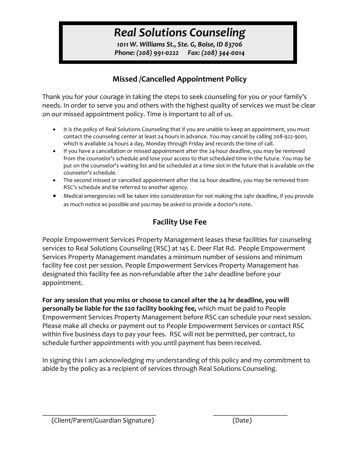1011 W. Williams St., Ste. G, Boise, ID 83706 Phone: (208) 991-0222 Fax: (208) 344-0014

## Missed /Cancelled Appointment Policy

Thank you for your courage in taking the steps to seek counseling for you or your family's needs. In order to serve you and others with the highest quality of services we must be clear on our missed appointment policy. Time is important to all of us.

- It is the policy of Real Solutions Counseling that if you are unable to keep an appointment, you must contact the counseling center at least 24 hours in advance. You may cancel by calling 208-922-9001, which is available 24 hours a day, Monday through Friday and records the time of call.
- If you have a cancellation or missed appointment after the 24-hour deadline, you may be removed from the counselor's schedule and lose your access to that scheduled time in the future. You may be put on the counselor's waiting list and be scheduled at a time slot in the future that is available on the counselor's schedule.
- The second missed or cancelled appointment after the 24 hour deadline, you may be removed from RSC's schedule and be referred to another agency.
- Medical emergencies will be taken into consideration for not making the 24hr deadline, if you provide as much notice as possible and you may be asked to provide a doctor's note.

# Facility Use Fee

People Empowerment Services Property Management leases these facilities for counseling services to Real Solutions Counseling (RSC) at 145 E. Deer Flat Rd. People Empowerment Services Property Management mandates a minimum number of sessions and minimum facility fee cost per session. People Empowerment Services Property Management has designated this facility fee as non-refundable after the 24hr deadline before your appointment.

For any session that you miss or choose to cancel after the 24 hr deadline, you will personally be liable for the \$20 facility booking fee, which must be paid to People Empowerment Services Property Management before RSC can schedule your next session. Please make all checks or payment out to People Empowerment Services or contact RSC within five business days to pay your fees. RSC will not be permitted, per contract, to schedule further appointments with you until payment has been received.

In signing this I am acknowledging my understanding of this policy and my commitment to abide by the policy as a recipient of services through Real Solutions Counseling.

 $\mathcal{L}_\text{max} = \frac{1}{2} \sum_{i=1}^n \mathcal{L}_\text{max}(\mathbf{z}_i - \mathbf{z}_i)$